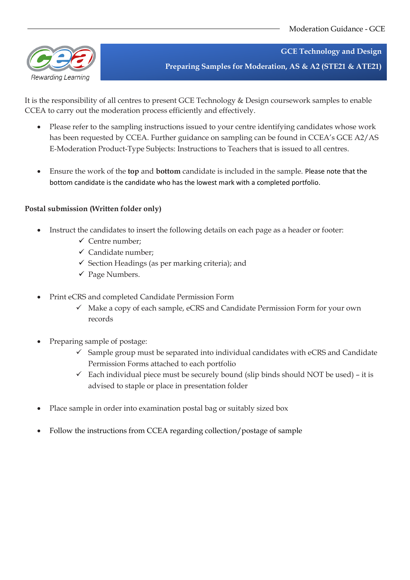

**GCE Technology and Design Preparing Samples for Moderation, AS & A2 (STE21 & ATE21)**

It is the responsibility of all centres to present GCE Technology & Design coursework samples to enable CCEA to carry out the moderation process efficiently and effectively.

- Please refer to the sampling instructions issued to your centre identifying candidates whose work has been requested by CCEA. Further guidance on sampling can be found in CCEA's GCE A2/AS E‐Moderation Product‐Type Subjects: Instructions to Teachers that is issued to all centres.
- Ensure the work of the **top** and **bottom** candidate is included in the sample. Please note that the bottom candidate is the candidate who has the lowest mark with a completed portfolio.

## **Postal submission (Written folder only)**

- Instruct the candidates to insert the following details on each page as a header or footer:
	- $\checkmark$  Centre number;
	- $\checkmark$  Candidate number:
	- $\checkmark$  Section Headings (as per marking criteria); and
	- $\checkmark$  Page Numbers.
- Print eCRS and completed Candidate Permission Form
	- ✓ Make a copy of each sample, eCRS and Candidate Permission Form for your own records
- Preparing sample of postage:
	- $\checkmark$  Sample group must be separated into individual candidates with eCRS and Candidate Permission Forms attached to each portfolio
	- $\checkmark$  Each individual piece must be securely bound (slip binds should NOT be used) it is advised to staple or place in presentation folder
- Place sample in order into examination postal bag or suitably sized box
- Follow the instructions from CCEA regarding collection/postage of sample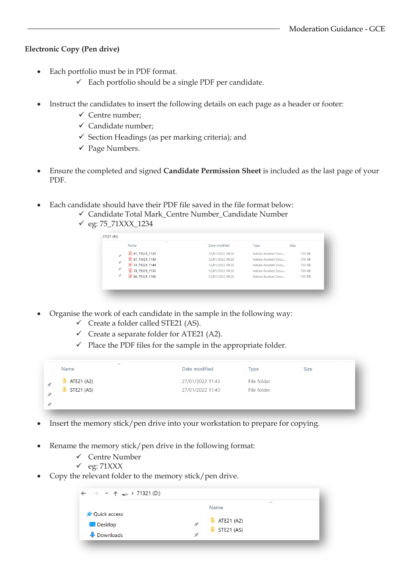## **Electronic Copy (Pen drive)**

- Each portfolio must be in PDF format.
	- $\checkmark$  Each portfolio should be a single PDF per candidate.
- Instruct the candidates to insert the following details on each page as a header or footer:
	- ✓ Centre number;
	- $\checkmark$  Candidate number:
	- $\checkmark$  Section Headings (as per marking criteria); and
	- ✓ Page Numbers.
- Ensure the completed and signed **Candidate Permission Sheet** is included as the last page of your PDF.
- Each candidate should have their PDF file saved in the file format below:
	- ✓ Candidate Total Mark\_Centre Number\_Candidate Number
		- ✓ eg: 75\_71XXX\_1234

| $\widehat{\phantom{a}}$<br>Name                             | Date modified    | Type               | Size   |
|-------------------------------------------------------------|------------------|--------------------|--------|
| $\left  \frac{1}{2} \right $ 61_71321_1122                  | 12/01/2022 09:25 | Adobe Acrobat Docu | 700 KB |
| À<br>$\bigcirc$ 67_71321_1133                               | 12/01/2022 09:26 | Adobe Acrobat Docu | 703 KB |
| $\mathcal{R}$<br>$\left  \frac{1}{2} \right $ 74_71321_1144 | 12/01/2022 09:26 | Adobe Acrobat Docu | 703 KB |
| À<br>권 78_71321_1155                                        | 12/01/2022 09:26 | Adobe Acrobat Docu | 700 KB |
| ×<br>$\left  \cdot \right $ 86 71321 1166                   | 12/01/2022 09:26 | Adobe Acrobat Docu | 705 KB |
|                                                             |                  |                    |        |

- Organise the work of each candidate in the sample in the following way:  $\checkmark$  Create a folder called STE21 (AS).
	- $\checkmark$  Create a separate folder for ATE21 (A2).
	- $\checkmark$  Place the PDF files for the sample in the appropriate folder.

| Name              | Date modified    | <b>Type</b> | <b>Size</b> |
|-------------------|------------------|-------------|-------------|
| ATE21 (A2)        | 27/01/2022 11:43 | File folder |             |
| <b>STE21 (AS)</b> | 27/01/2022 11:43 | File folder |             |
|                   |                  |             |             |
|                   |                  |             |             |

- Insert the memory stick/pen drive into your workstation to prepare for copying.
- Rename the memory stick/pen drive in the following format:
	- ✓ Centre Number
	- $\checkmark$  eg: 71XXX
- Copy the relevant folder to the memory stick/pen drive.

|                     |   | $\wedge$<br>Name |  |
|---------------------|---|------------------|--|
| <b>Quick access</b> |   |                  |  |
|                     |   | ATE21 (A2)       |  |
| <b>Desktop</b>      | Å | STE21 (AS)       |  |
| Downloads           | Å |                  |  |